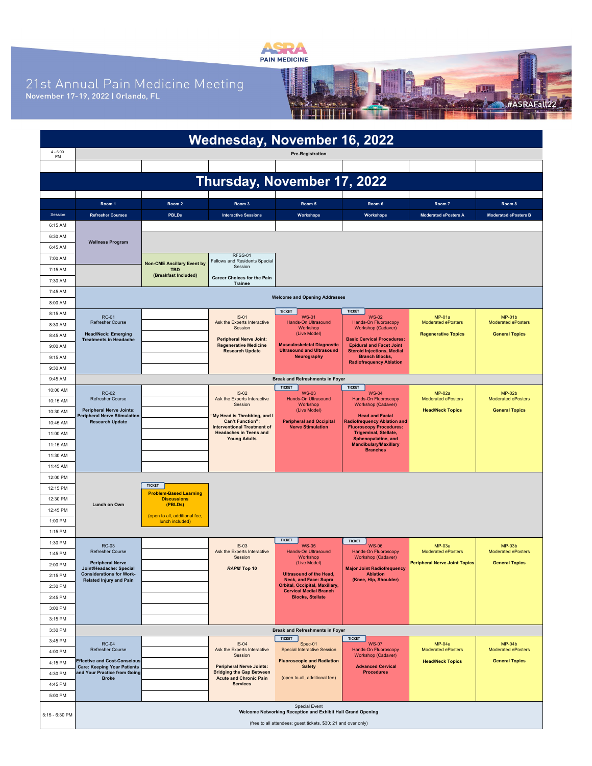

21st Annual Pain Medicine Meeting<br>November 17-19, 2022 | Orlando, FL



| <b>Wednesday, November 16, 2022</b> |                                                                           |                                                                |                                                                     |                                                                                     |                                                                      |                                            |                                       |  |  |
|-------------------------------------|---------------------------------------------------------------------------|----------------------------------------------------------------|---------------------------------------------------------------------|-------------------------------------------------------------------------------------|----------------------------------------------------------------------|--------------------------------------------|---------------------------------------|--|--|
| $4 - 6:00$<br><b>PM</b>             |                                                                           |                                                                |                                                                     | <b>Pre-Registration</b>                                                             |                                                                      |                                            |                                       |  |  |
|                                     |                                                                           |                                                                |                                                                     |                                                                                     |                                                                      |                                            |                                       |  |  |
|                                     |                                                                           |                                                                |                                                                     |                                                                                     |                                                                      |                                            |                                       |  |  |
| Thursday, November 17, 2022         |                                                                           |                                                                |                                                                     |                                                                                     |                                                                      |                                            |                                       |  |  |
|                                     | Room 1                                                                    | Room <sub>2</sub>                                              | Room 3                                                              | Room 5                                                                              | Room 6                                                               | Room 7                                     | Room 8                                |  |  |
| Session                             | <b>Refresher Courses</b>                                                  | <b>PBLDs</b>                                                   | <b>Interactive Sessions</b>                                         | Workshops                                                                           | Workshops                                                            | <b>Moderated ePosters A</b>                | <b>Moderated ePosters B</b>           |  |  |
| 6:15 AM                             |                                                                           |                                                                |                                                                     |                                                                                     |                                                                      |                                            |                                       |  |  |
| 6:30 AM                             |                                                                           |                                                                |                                                                     |                                                                                     |                                                                      |                                            |                                       |  |  |
| 6:45 AM                             | <b>Wellness Program</b>                                                   |                                                                |                                                                     |                                                                                     |                                                                      |                                            |                                       |  |  |
| 7:00 AM                             |                                                                           | <b>Non-CME Ancillary Event by</b>                              | RFSS-01<br>Fellows and Residents Special                            |                                                                                     |                                                                      |                                            |                                       |  |  |
| 7:15 AM                             |                                                                           | <b>TBD</b><br>(Breakfast Included)                             | Session                                                             |                                                                                     |                                                                      |                                            |                                       |  |  |
| 7:30 AM                             |                                                                           |                                                                | <b>Career Choices for the Pain</b><br><b>Trainee</b>                |                                                                                     |                                                                      |                                            |                                       |  |  |
| 7:45 AM                             |                                                                           |                                                                |                                                                     | <b>Welcome and Opening Addresses</b>                                                |                                                                      |                                            |                                       |  |  |
| 8:00 AM                             |                                                                           |                                                                |                                                                     |                                                                                     |                                                                      |                                            |                                       |  |  |
| 8:15 AM                             | <b>RC-01</b>                                                              |                                                                | $IS-01$                                                             | <b>TICKET</b><br><b>WS-01</b>                                                       | <b>TICKET</b><br><b>WS-02</b>                                        | $MP-01a$                                   | $MP-01b$                              |  |  |
| 8:30 AM                             | <b>Refresher Course</b>                                                   |                                                                | Ask the Experts Interactive<br>Session                              | Hands-On Ultrasound<br>Workshop                                                     | <b>Hands-On Fluoroscopy</b><br><b>Workshop (Cadaver)</b>             | <b>Moderated ePosters</b>                  | <b>Moderated ePosters</b>             |  |  |
| 8:45 AM                             | <b>Head/Neck: Emerging</b><br><b>Treatments in Headache</b>               |                                                                | <b>Peripheral Nerve Joint:</b>                                      | (Live Model)<br><b>Musculoskeletal Diagnostic</b>                                   | <b>Basic Cervical Procedures:</b>                                    | <b>Regenerative Topics</b>                 | <b>General Topics</b>                 |  |  |
| 9:00 AM                             |                                                                           |                                                                | <b>Regenerative Medicine</b><br><b>Research Update</b>              | <b>Ultrasound and Ultrasound</b>                                                    | <b>Epidural and Facet Joint</b><br><b>Steroid Injections, Medial</b> |                                            |                                       |  |  |
| 9:15 AM                             |                                                                           |                                                                |                                                                     | <b>Neurography</b>                                                                  | <b>Branch Blocks,</b><br><b>Radiofrequency Ablation</b>              |                                            |                                       |  |  |
| 9:30 AM<br>9:45 AM                  |                                                                           |                                                                |                                                                     | <b>Break and Refreshments in Foyer</b>                                              |                                                                      |                                            |                                       |  |  |
| 10:00 AM                            |                                                                           |                                                                |                                                                     | <b>TICKET</b>                                                                       | <b>TICKET</b>                                                        |                                            |                                       |  |  |
| 10:15 AM                            | <b>RC-02</b><br><b>Refresher Course</b>                                   |                                                                | $IS-02$<br>Ask the Experts Interactive                              | <b>WS-03</b><br>Hands-On Ultrasound                                                 | <b>WS-04</b><br><b>Hands-On Fluoroscopy</b>                          | $MP-02a$<br><b>Moderated ePosters</b>      | $MP-02b$<br><b>Moderated ePosters</b> |  |  |
| 10:30 AM                            | <b>Peripheral Nerve Joints:</b>                                           |                                                                | Session                                                             | Workshop<br>(Live Model)                                                            | <b>Workshop (Cadaver)</b>                                            | <b>Head/Neck Topics</b>                    | <b>General Topics</b>                 |  |  |
| 10:45 AM                            | <b>Peripheral Nerve Stimulation</b><br><b>Research Update</b>             |                                                                | "My Head is Throbbing, and I<br><b>Can't Function":</b>             | <b>Peripheral and Occipital</b>                                                     | <b>Head and Facial</b><br><b>Radiofrequency Ablation and</b>         |                                            |                                       |  |  |
| 11:00 AM                            |                                                                           |                                                                | <b>Interventional Treatment of</b><br><b>Headaches in Teens and</b> | <b>Nerve Stimulation</b>                                                            | <b>Fluoroscopy Procedures:</b><br><b>Trigeminal, Stellate,</b>       |                                            |                                       |  |  |
| 11:15 AM                            |                                                                           |                                                                | <b>Young Adults</b>                                                 |                                                                                     | Sphenopalatine, and<br><b>Mandibulary/Maxillary</b>                  |                                            |                                       |  |  |
| 11:30 AM                            |                                                                           |                                                                |                                                                     |                                                                                     | <b>Branches</b>                                                      |                                            |                                       |  |  |
| 11:45 AM                            |                                                                           |                                                                |                                                                     |                                                                                     |                                                                      |                                            |                                       |  |  |
| 12:00 PM                            |                                                                           |                                                                |                                                                     |                                                                                     |                                                                      |                                            |                                       |  |  |
| 12:15 PM                            |                                                                           | <b>TICKET</b><br><b>Problem-Based Learning</b>                 |                                                                     |                                                                                     |                                                                      |                                            |                                       |  |  |
| 12:30 PM                            | Lunch on Own                                                              | <b>Discussions</b><br>(PBLDs)                                  |                                                                     |                                                                                     |                                                                      |                                            |                                       |  |  |
| 12:45 PM                            |                                                                           | (open to all, additional fee,                                  |                                                                     |                                                                                     |                                                                      |                                            |                                       |  |  |
| 1:00 PM                             |                                                                           | lunch included)                                                |                                                                     |                                                                                     |                                                                      |                                            |                                       |  |  |
| 1:15 PM                             |                                                                           |                                                                |                                                                     | <b>TICKET</b>                                                                       | <b>TICKET</b>                                                        |                                            |                                       |  |  |
| 1:30 PM                             | <b>RC-03</b><br>Refresher Course                                          |                                                                | $IS-03$<br>Ask the Experts Interactive                              | <b>WS-05</b><br>Hands-On Ultrasound                                                 | <b>WS-06</b><br><b>Hands-On Fluoroscopy</b>                          | <b>MP-03a</b><br><b>Moderated ePosters</b> | $MP-03b$<br><b>Moderated ePosters</b> |  |  |
| 1:45 PM                             | <b>Peripheral Nerve</b>                                                   |                                                                | Session                                                             | Workshop<br>(Live Model)                                                            | <b>Workshop (Cadaver)</b>                                            | Peripheral Nerve Joint Topics              | <b>General Topics</b>                 |  |  |
| 2:00 PM<br>2:15 PM                  | Joint/Headache: Special<br><b>Considerations for Work-</b>                |                                                                | RAPM Top 10                                                         | <b>Ultrasound of the Head,</b>                                                      | <b>Major Joint Radiofrequency</b><br>Ablation                        |                                            |                                       |  |  |
| 2:30 PM                             | <b>Related Injury and Pain</b>                                            |                                                                |                                                                     | <b>Neck, and Face: Supra</b><br>Orbital, Occipital, Maxillary,                      | (Knee, Hip, Shoulder)                                                |                                            |                                       |  |  |
| 2:45 PM                             |                                                                           |                                                                |                                                                     | <b>Cervical Medial Branch</b><br><b>Blocks, Stellate</b>                            |                                                                      |                                            |                                       |  |  |
| 3:00 PM                             |                                                                           |                                                                |                                                                     |                                                                                     |                                                                      |                                            |                                       |  |  |
| 3:15 PM                             |                                                                           |                                                                |                                                                     |                                                                                     |                                                                      |                                            |                                       |  |  |
| 3:30 PM                             |                                                                           |                                                                |                                                                     | <b>Break and Refreshments in Foyer</b>                                              |                                                                      |                                            |                                       |  |  |
| 3:45 PM                             | <b>RC-04</b>                                                              |                                                                | $IS-04$                                                             | <b>TICKET</b><br>Spec-01                                                            | <b>TICKET</b><br><b>WS-07</b>                                        | $MP-04a$                                   | $MP-04b$                              |  |  |
| 4:00 PM                             | <b>Refresher Course</b>                                                   |                                                                | Ask the Experts Interactive<br>Session                              | <b>Special Interactive Session</b>                                                  | Hands-On Fluoroscopy<br>Workshop (Cadaver)                           | Moderated ePosters                         | Moderated ePosters                    |  |  |
| 4:15 PM                             | <b>Effective and Cost-Conscious</b><br><b>Care: Keeping Your Patients</b> |                                                                | <b>Peripheral Nerve Joints:</b>                                     | <b>Fluoroscopic and Radiation</b><br><b>Safety</b>                                  | <b>Advanced Cervical</b>                                             | <b>Head/Neck Topics</b>                    | <b>General Topics</b>                 |  |  |
| 4:30 PM                             | and Your Practice from Going<br><b>Broke</b>                              |                                                                | <b>Bridging the Gap Between</b><br><b>Acute and Chronic Pain</b>    | (open to all, additional fee)                                                       | <b>Procedures</b>                                                    |                                            |                                       |  |  |
| 4:45 PM                             |                                                                           |                                                                | <b>Services</b>                                                     |                                                                                     |                                                                      |                                            |                                       |  |  |
| 5:00 PM                             |                                                                           |                                                                |                                                                     |                                                                                     |                                                                      |                                            |                                       |  |  |
| 5:15 - 6:30 PM                      |                                                                           |                                                                |                                                                     | <b>Special Event</b><br>Welcome Networking Reception and Exhibit Hall Grand Opening |                                                                      |                                            |                                       |  |  |
|                                     |                                                                           | (free to all attendees; guest tickets, \$30; 21 and over only) |                                                                     |                                                                                     |                                                                      |                                            |                                       |  |  |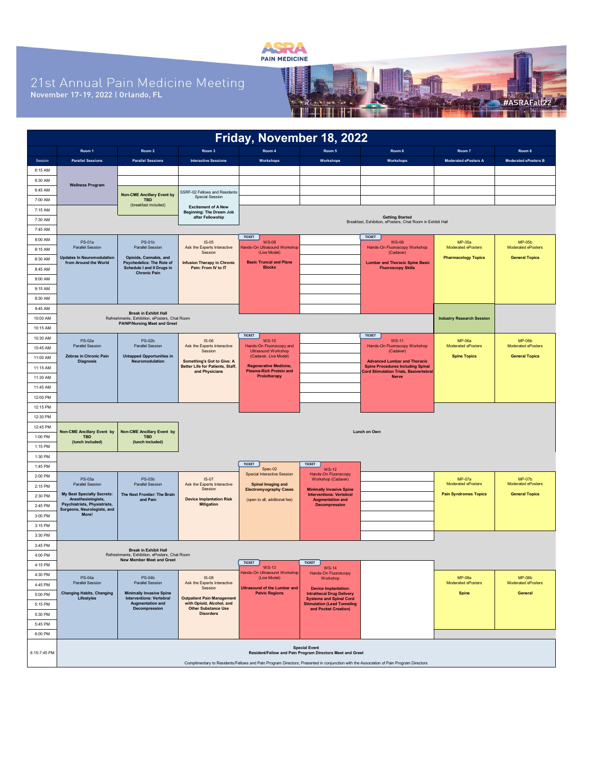

## 21st Annual Pain Medicine Meeting<br>November 17-19, 2022 | Orlando, FL



| Friday, November 18, 2022 |                                                                                                                                                                                                                             |                                                                                      |                                                           |                                                                 |                                                                    |                                                                                          |                                     |                                            |  |
|---------------------------|-----------------------------------------------------------------------------------------------------------------------------------------------------------------------------------------------------------------------------|--------------------------------------------------------------------------------------|-----------------------------------------------------------|-----------------------------------------------------------------|--------------------------------------------------------------------|------------------------------------------------------------------------------------------|-------------------------------------|--------------------------------------------|--|
|                           | Room 1                                                                                                                                                                                                                      | Room 2                                                                               | Room 3                                                    | Room 4                                                          | Room 5                                                             | Room 6                                                                                   | Room 7                              | Room 8                                     |  |
| Session                   | <b>Parallel Sessions</b>                                                                                                                                                                                                    | <b>Parallel Sessions</b>                                                             | <b>Interactive Sessions</b>                               | <b>Workshops</b>                                                | Workshops                                                          | <b>Workshops</b>                                                                         | <b>Moderated ePosters A</b>         | Moderated ePosters B                       |  |
| 6:15 AM                   |                                                                                                                                                                                                                             |                                                                                      |                                                           |                                                                 |                                                                    |                                                                                          |                                     |                                            |  |
| 6:30 AM                   |                                                                                                                                                                                                                             |                                                                                      |                                                           |                                                                 |                                                                    |                                                                                          |                                     |                                            |  |
| 6:45 AM                   | <b>Wellness Program</b>                                                                                                                                                                                                     |                                                                                      | SSRF-02 Fellows and Residents                             |                                                                 |                                                                    |                                                                                          |                                     |                                            |  |
| 7:00 AM                   |                                                                                                                                                                                                                             | <b>Non-CME Ancillary Event by</b><br><b>TBD</b>                                      | <b>Special Session</b>                                    |                                                                 |                                                                    |                                                                                          |                                     |                                            |  |
| 7:15 AM                   |                                                                                                                                                                                                                             | (breakfast included)                                                                 | <b>Excitement of A New</b>                                |                                                                 |                                                                    |                                                                                          |                                     |                                            |  |
| 7:30 AM                   | Beginning: The Dream Job<br><b>Getting Started</b><br>after Fellowship                                                                                                                                                      |                                                                                      |                                                           |                                                                 |                                                                    |                                                                                          |                                     |                                            |  |
| 7:45 AM                   | Breakfast, Exhibition, ePosters, Chat Room in Exhibit Hall                                                                                                                                                                  |                                                                                      |                                                           |                                                                 |                                                                    |                                                                                          |                                     |                                            |  |
| 8:00 AM                   | PS-01a                                                                                                                                                                                                                      | <b>PS-01b</b>                                                                        | $IS-05$                                                   | <b>TICKET</b><br><b>WS-08</b>                                   |                                                                    | <b>TICKET</b><br><b>WS-09</b>                                                            | <b>MP-05a</b>                       | $MP-05b$                                   |  |
| 8:15 AM                   | <b>Parallel Session</b>                                                                                                                                                                                                     | Parallel Session                                                                     | Ask the Experts Interactive<br>Session                    | Hands-On Ultrasound Workshop<br>(Live Model)                    |                                                                    | Hands-On Fluoroscopy Workshop<br>(Cadaver)                                               | Moderated ePosters                  | Moderated ePosters                         |  |
| 8:30 AM                   | <b>Updates In Neuromodulation</b><br>from Around the World                                                                                                                                                                  | Opioids, Cannabis, and<br>Psychedelics: The Role of                                  | <b>Infusion Therapy in Chronic</b>                        | <b>Basic Truncal and Plane</b>                                  |                                                                    | <b>Lumbar and Thoracic Spine Basic</b>                                                   | <b>Pharmacology Topics</b>          | <b>General Topics</b>                      |  |
| 8:45 AM                   |                                                                                                                                                                                                                             | Schedule I and II Drugs in<br><b>Chronic Pain</b>                                    | Pain: From IV to IT                                       | <b>Blocks</b>                                                   |                                                                    | <b>Fluoroscopy Skills</b>                                                                |                                     |                                            |  |
| 9:00 AM                   |                                                                                                                                                                                                                             |                                                                                      |                                                           |                                                                 |                                                                    |                                                                                          |                                     |                                            |  |
| 9:15 AM                   |                                                                                                                                                                                                                             |                                                                                      |                                                           |                                                                 |                                                                    |                                                                                          |                                     |                                            |  |
| 9:30 AM                   |                                                                                                                                                                                                                             |                                                                                      |                                                           |                                                                 |                                                                    |                                                                                          |                                     |                                            |  |
| 9:45 AM                   |                                                                                                                                                                                                                             | <b>Break in Exhibit Hall</b>                                                         |                                                           |                                                                 |                                                                    |                                                                                          |                                     |                                            |  |
| 10:00 AM                  |                                                                                                                                                                                                                             | Refreshments, Exhibition, ePosters, Chat Room<br><b>PA/NP/Nursing Meet and Greet</b> |                                                           |                                                                 |                                                                    |                                                                                          | <b>Industry Research Session</b>    |                                            |  |
| 10:15 AM                  |                                                                                                                                                                                                                             |                                                                                      |                                                           |                                                                 |                                                                    |                                                                                          |                                     |                                            |  |
| 10:30 AM                  | <b>PS-02a</b>                                                                                                                                                                                                               | <b>PS-02b</b>                                                                        | $IS-06$                                                   | <b>TICKET</b><br><b>WS-10</b>                                   |                                                                    | <b>TICKET</b><br><b>WS-11</b>                                                            | <b>MP-06a</b>                       | <b>MP-06b</b>                              |  |
| 10:45 AM                  | <b>Parallel Session</b>                                                                                                                                                                                                     | Parallel Session                                                                     | Ask the Experts Interactive<br>Session                    | Hands-On Fluoroscopy and<br><b>Ultrasound Workshop</b>          |                                                                    | Hands-On Fluoroscopy Workshop<br>(Cadaver)                                               | Moderated ePosters                  | Moderated ePosters                         |  |
| 11:00 AM                  | Zebras in Chronic Pain<br><b>Diagnosis</b>                                                                                                                                                                                  | <b>Untapped Opportunities in</b><br>Neuromodulation                                  | Something's Got to Give: A                                | (Cadaver, Live Model)                                           |                                                                    | <b>Advanced Lumbar and Thoracic</b>                                                      | <b>Spine Topics</b>                 | <b>General Topics</b>                      |  |
| 11:15 AM                  |                                                                                                                                                                                                                             |                                                                                      | <b>Better Life for Patients, Staff,</b><br>and Physicians | <b>Regenerative Medicine,</b><br><b>Plasma-Rich Protein and</b> |                                                                    | <b>Spine Procedures Including Spinal</b><br><b>Cord Stimulation Trials, Basivertebra</b> |                                     |                                            |  |
| 11:30 AM                  |                                                                                                                                                                                                                             |                                                                                      |                                                           | Prolotherapy                                                    |                                                                    | <b>Nerve</b>                                                                             |                                     |                                            |  |
| 11:45 AM                  |                                                                                                                                                                                                                             |                                                                                      |                                                           |                                                                 |                                                                    |                                                                                          |                                     |                                            |  |
| 12:00 PM                  |                                                                                                                                                                                                                             |                                                                                      |                                                           |                                                                 |                                                                    |                                                                                          |                                     |                                            |  |
| 12:15 PM                  |                                                                                                                                                                                                                             |                                                                                      |                                                           |                                                                 |                                                                    |                                                                                          |                                     |                                            |  |
| 12:30 PM                  |                                                                                                                                                                                                                             |                                                                                      |                                                           |                                                                 |                                                                    |                                                                                          |                                     |                                            |  |
| 12:45 PM                  | Non-CME Ancillary Event by                                                                                                                                                                                                  | Non-CME Ancillary Event by                                                           |                                                           |                                                                 |                                                                    | Lunch on Own                                                                             |                                     |                                            |  |
| 1:00 PM                   | <b>TBD</b><br>(lunch included)                                                                                                                                                                                              | <b>TBD</b><br>(lunch included)                                                       |                                                           |                                                                 |                                                                    |                                                                                          |                                     |                                            |  |
| 1:15 PM<br>1:30 PM        |                                                                                                                                                                                                                             |                                                                                      |                                                           |                                                                 |                                                                    |                                                                                          |                                     |                                            |  |
| 1:45 PM                   |                                                                                                                                                                                                                             |                                                                                      |                                                           | <b>TICKET</b>                                                   | <b>TICKET</b>                                                      |                                                                                          |                                     |                                            |  |
| 2:00 PM                   |                                                                                                                                                                                                                             |                                                                                      |                                                           | Spec-02<br>Special Interactive Session                          | <b>WS-12</b><br>Hands-On Fluoroscopy                               |                                                                                          |                                     |                                            |  |
| 2:15 PM                   | PS-03a<br><b>Parallel Session</b>                                                                                                                                                                                           | <b>PS-03b</b><br><b>Parallel Session</b>                                             | $IS-07$<br>Ask the Experts Interactive                    | <b>Spinal Imaging and</b>                                       | Workshop (Cadaver)                                                 |                                                                                          | <b>MP-07a</b><br>Moderated ePosters | <b>MP-07b</b><br><b>Moderated ePosters</b> |  |
| 2:30 PM                   | My Best Specialty Secrets:                                                                                                                                                                                                  | The Next Frontier: The Brain                                                         | Session                                                   | <b>Electromyography Cases</b>                                   | <b>Minimally Invasive Spine</b><br><b>Interventions: Vertebral</b> |                                                                                          | <b>Pain Syndromes Topics</b>        | <b>General Topics</b>                      |  |
| 2:45 PM                   | Anesthesiologists,<br>Psychiatrists, Physiatrists,                                                                                                                                                                          | and Pain                                                                             | <b>Device Implantation Risk</b><br><b>Mitigation</b>      | (open to all, additional fee)                                   | <b>Augmentation and</b><br><b>Decompression</b>                    |                                                                                          |                                     |                                            |  |
| 3:00 PM                   | Surgeons, Neurologists, and<br>More!                                                                                                                                                                                        |                                                                                      |                                                           |                                                                 |                                                                    |                                                                                          |                                     |                                            |  |
| 3:15 PM                   |                                                                                                                                                                                                                             |                                                                                      |                                                           |                                                                 |                                                                    |                                                                                          |                                     |                                            |  |
| 3:30 PM                   |                                                                                                                                                                                                                             |                                                                                      |                                                           |                                                                 |                                                                    |                                                                                          |                                     |                                            |  |
| 3:45 PM                   |                                                                                                                                                                                                                             |                                                                                      |                                                           |                                                                 |                                                                    |                                                                                          |                                     |                                            |  |
| 4:00 PM                   | <b>Break in Exhibit Hall</b><br>Refreshments, Exhibition, ePosters, Chat Room                                                                                                                                               |                                                                                      |                                                           |                                                                 |                                                                    |                                                                                          |                                     |                                            |  |
| 4:15 PM                   |                                                                                                                                                                                                                             | New Member Meet and Greet                                                            |                                                           | <b>TICKET</b><br><b>WS-13</b>                                   | <b>TICKET</b><br><b>WS-14</b>                                      |                                                                                          |                                     |                                            |  |
| 4:30 PM                   | PS-04a                                                                                                                                                                                                                      | <b>PS-04b</b>                                                                        | $IS-08$                                                   | Hands-On Ultrasound Workshop<br>(Live Model)                    | Hands-On Fluoroscopy<br>Workshop                                   |                                                                                          | <b>MP-08a</b>                       | <b>MP-08b</b>                              |  |
| 4:45 PM                   | <b>Parallel Session</b>                                                                                                                                                                                                     | Parallel Session                                                                     | Ask the Experts Interactive<br>Session                    | <b>Ultrasound of the Lumbar and</b>                             | <b>Device Implantation:</b>                                        |                                                                                          | Moderated ePosters                  | Moderated ePosters                         |  |
| 5:00 PM                   | <b>Changing Habits, Changing</b><br>Lifestyles                                                                                                                                                                              | <b>Minimally Invasive Spine</b><br><b>Interventions: Vertebral</b>                   | <b>Outpatient Pain Management</b>                         | <b>Pelvic Regions</b>                                           | <b>Intrathecal Drug Delivery</b><br><b>Systems and Spinal Cord</b> |                                                                                          | Spine                               | <b>General</b>                             |  |
| 5:15 PM                   |                                                                                                                                                                                                                             | Augmentation and<br>Decompression                                                    | with Opioid, Alcohol, and<br><b>Other Substance Use</b>   |                                                                 | <b>Stimulation (Lead Tunneling</b><br>and Pocket Creation)         |                                                                                          |                                     |                                            |  |
| 5:30 PM                   |                                                                                                                                                                                                                             |                                                                                      | <b>Disorders</b>                                          |                                                                 |                                                                    |                                                                                          |                                     |                                            |  |
| 5:45 PM                   |                                                                                                                                                                                                                             |                                                                                      |                                                           |                                                                 |                                                                    |                                                                                          |                                     |                                            |  |
| 6:00 PM                   |                                                                                                                                                                                                                             |                                                                                      |                                                           |                                                                 |                                                                    |                                                                                          |                                     |                                            |  |
| 6:15-7:45 PM              | <b>Special Event</b><br>Resident/Fellow and Pain Program Directors Meet and Greet<br>Complimentary to Residents/Fellows and Pain Program Directors; Presented in conjunction with the Association of Pain Program Directors |                                                                                      |                                                           |                                                                 |                                                                    |                                                                                          |                                     |                                            |  |